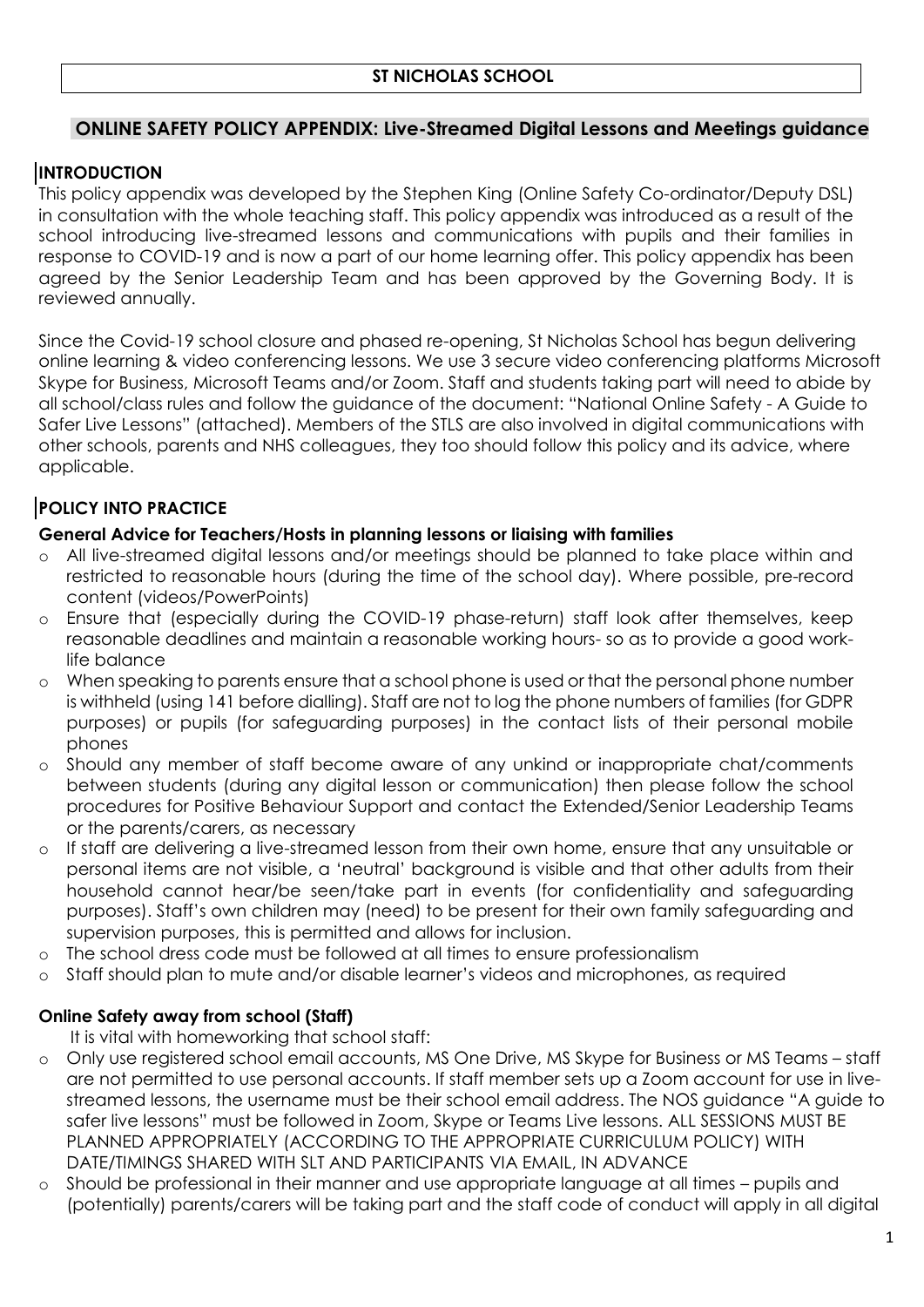# **ONLINE SAFETY POLICY APPENDIX: Live-Streamed Digital Lessons and Meetings guidance**

# **INTRODUCTION**

This policy appendix was developed by the Stephen King (Online Safety Co-ordinator/Deputy DSL) in consultation with the whole teaching staff. This policy appendix was introduced as a result of the school introducing live-streamed lessons and communications with pupils and their families in response to COVID-19 and is now a part of our home learning offer. This policy appendix has been agreed by the Senior Leadership Team and has been approved by the Governing Body. It is reviewed annually.

Since the Covid-19 school closure and phased re-opening, St Nicholas School has begun delivering online learning & video conferencing lessons. We use 3 secure video conferencing platforms Microsoft Skype for Business, Microsoft Teams and/or Zoom. Staff and students taking part will need to abide by all school/class rules and follow the guidance of the document: "National Online Safety - A Guide to Safer Live Lessons" (attached). Members of the STLS are also involved in digital communications with other schools, parents and NHS colleagues, they too should follow this policy and its advice, where applicable.

# **POLICY INTO PRACTICE**

#### **General Advice for Teachers/Hosts in planning lessons or liaising with families**

- All live-streamed digital lessons and/or meetings should be planned to take place within and restricted to reasonable hours (during the time of the school day). Where possible, pre-record content (videos/PowerPoints)
- o Ensure that (especially during the COVID-19 phase-return) staff look after themselves, keep reasonable deadlines and maintain a reasonable working hours- so as to provide a good worklife balance
- o When speaking to parents ensure that a school phone is used or that the personal phone number is withheld (using 141 before dialling). Staff are not to log the phone numbers of families (for GDPR purposes) or pupils (for safeguarding purposes) in the contact lists of their personal mobile phones
- Should any member of staff become aware of any unkind or inappropriate chat/comments between students (during any digital lesson or communication) then please follow the school procedures for Positive Behaviour Support and contact the Extended/Senior Leadership Teams or the parents/carers, as necessary
- o If staff are delivering a live-streamed lesson from their own home, ensure that any unsuitable or personal items are not visible, a 'neutral' background is visible and that other adults from their household cannot hear/be seen/take part in events (for confidentiality and safeguarding purposes). Staff's own children may (need) to be present for their own family safeguarding and supervision purposes, this is permitted and allows for inclusion.
- o The school dress code must be followed at all times to ensure professionalism
- o Staff should plan to mute and/or disable learner's videos and microphones, as required

## **Online Safety away from school (Staff)**

It is vital with homeworking that school staff:

- o Only use registered school email accounts, MS One Drive, MS Skype for Business or MS Teams staff are not permitted to use personal accounts. If staff member sets up a Zoom account for use in livestreamed lessons, the username must be their school email address. The NOS guidance "A guide to safer live lessons" must be followed in Zoom, Skype or Teams Live lessons. ALL SESSIONS MUST BE PLANNED APPROPRIATELY (ACCORDING TO THE APPROPRIATE CURRICULUM POLICY) WITH DATE/TIMINGS SHARED WITH SLT AND PARTICIPANTS VIA EMAIL, IN ADVANCE
- Should be professional in their manner and use appropriate language at all times pupils and (potentially) parents/carers will be taking part and the staff code of conduct will apply in all digital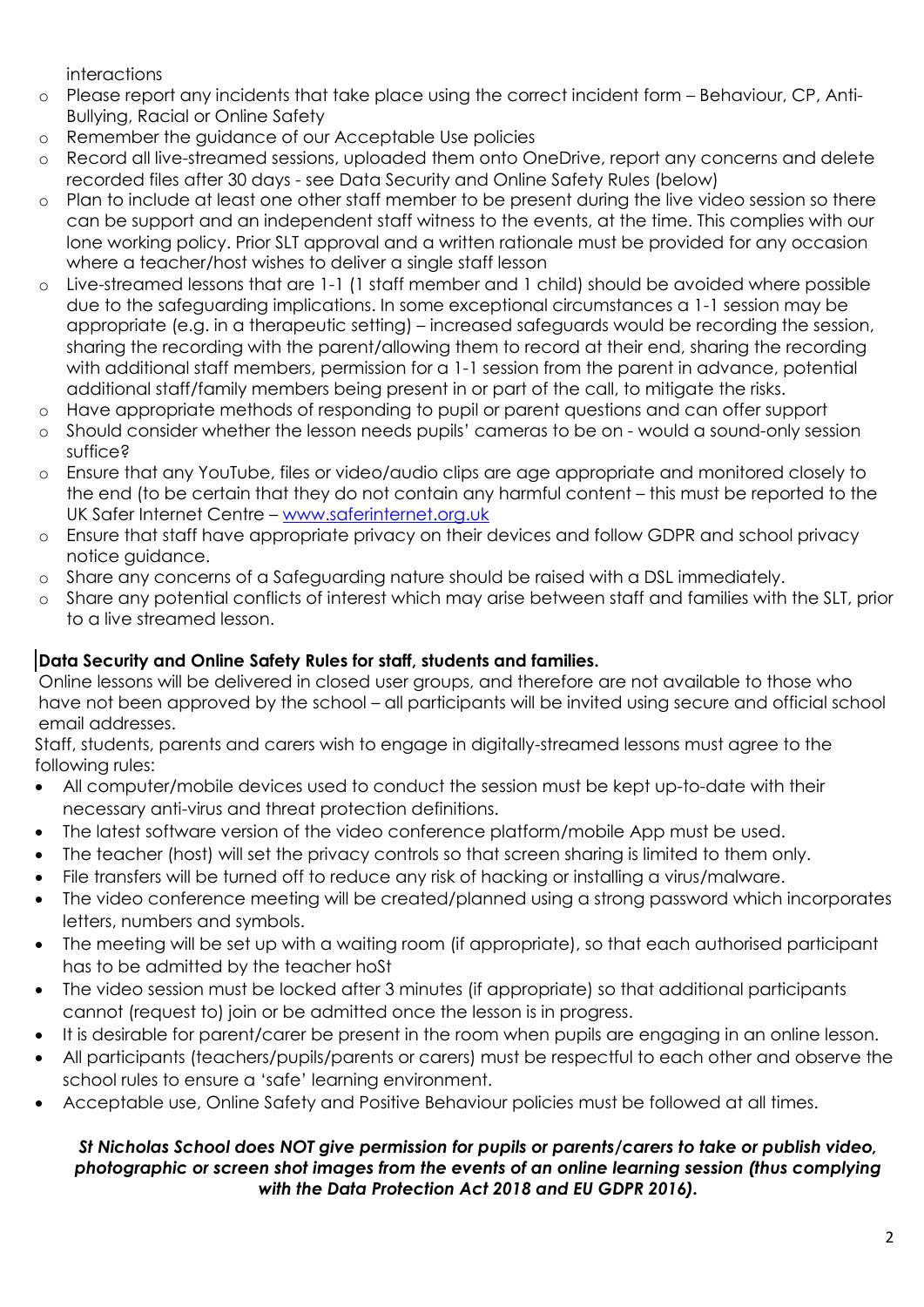interactions

- o Please report any incidents that take place using the correct incident form Behaviour, CP, Anti-Bullying, Racial or Online Safety
- o Remember the guidance of our Acceptable Use policies
- o Record all live-streamed sessions, uploaded them onto OneDrive, report any concerns and delete recorded files after 30 days - see Data Security and Online Safety Rules (below)
- o Plan to include at least one other staff member to be present during the live video session so there can be support and an independent staff witness to the events, at the time. This complies with our lone working policy. Prior SLT approval and a written rationale must be provided for any occasion where a teacher/host wishes to deliver a single staff lesson
- o Live-streamed lessons that are 1-1 (1 staff member and 1 child) should be avoided where possible due to the safeguarding implications. In some exceptional circumstances a 1-1 session may be appropriate (e.g. in a therapeutic setting) – increased safeguards would be recording the session, sharing the recording with the parent/allowing them to record at their end, sharing the recording with additional staff members, permission for a 1-1 session from the parent in advance, potential additional staff/family members being present in or part of the call, to mitigate the risks.
- o Have appropriate methods of responding to pupil or parent questions and can offer support
- Should consider whether the lesson needs pupils' cameras to be on would a sound-only session suffice?
- o Ensure that any YouTube, files or video/audio clips are age appropriate and monitored closely to the end (to be certain that they do not contain any harmful content – this must be reported to the UK Safer Internet Centre – [www.saferinternet.org.uk](http://www.saferinternet.org.uk/)
- Ensure that staff have appropriate privacy on their devices and follow GDPR and school privacy notice guidance.
- o Share any concerns of a Safeguarding nature should be raised with a DSL immediately.
- o Share any potential conflicts of interest which may arise between staff and families with the SLT, prior to a live streamed lesson.

# **Data Security and Online Safety Rules for staff, students and families.**

Online lessons will be delivered in closed user groups, and therefore are not available to those who have not been approved by the school – all participants will be invited using secure and official school email addresses.

Staff, students, parents and carers wish to engage in digitally-streamed lessons must agree to the following rules:

- All computer/mobile devices used to conduct the session must be kept up-to-date with their necessary anti-virus and threat protection definitions.
- The latest software version of the video conference platform/mobile App must be used.
- The teacher (host) will set the privacy controls so that screen sharing is limited to them only.
- File transfers will be turned off to reduce any risk of hacking or installing a virus/malware.
- The video conference meeting will be created/planned using a strong password which incorporates letters, numbers and symbols.
- The meeting will be set up with a waiting room (if appropriate), so that each authorised participant has to be admitted by the teacher hoSt
- The video session must be locked after 3 minutes (if appropriate) so that additional participants cannot (request to) join or be admitted once the lesson is in progress.
- It is desirable for parent/carer be present in the room when pupils are engaging in an online lesson.
- All participants (teachers/pupils/parents or carers) must be respectful to each other and observe the school rules to ensure a 'safe' learning environment.
- Acceptable use, Online Safety and Positive Behaviour policies must be followed at all times.

#### *St Nicholas School does NOT give permission for pupils or parents/carers to take or publish video, photographic or screen shot images from the events of an online learning session (thus complying with the Data Protection Act 2018 and EU GDPR 2016).*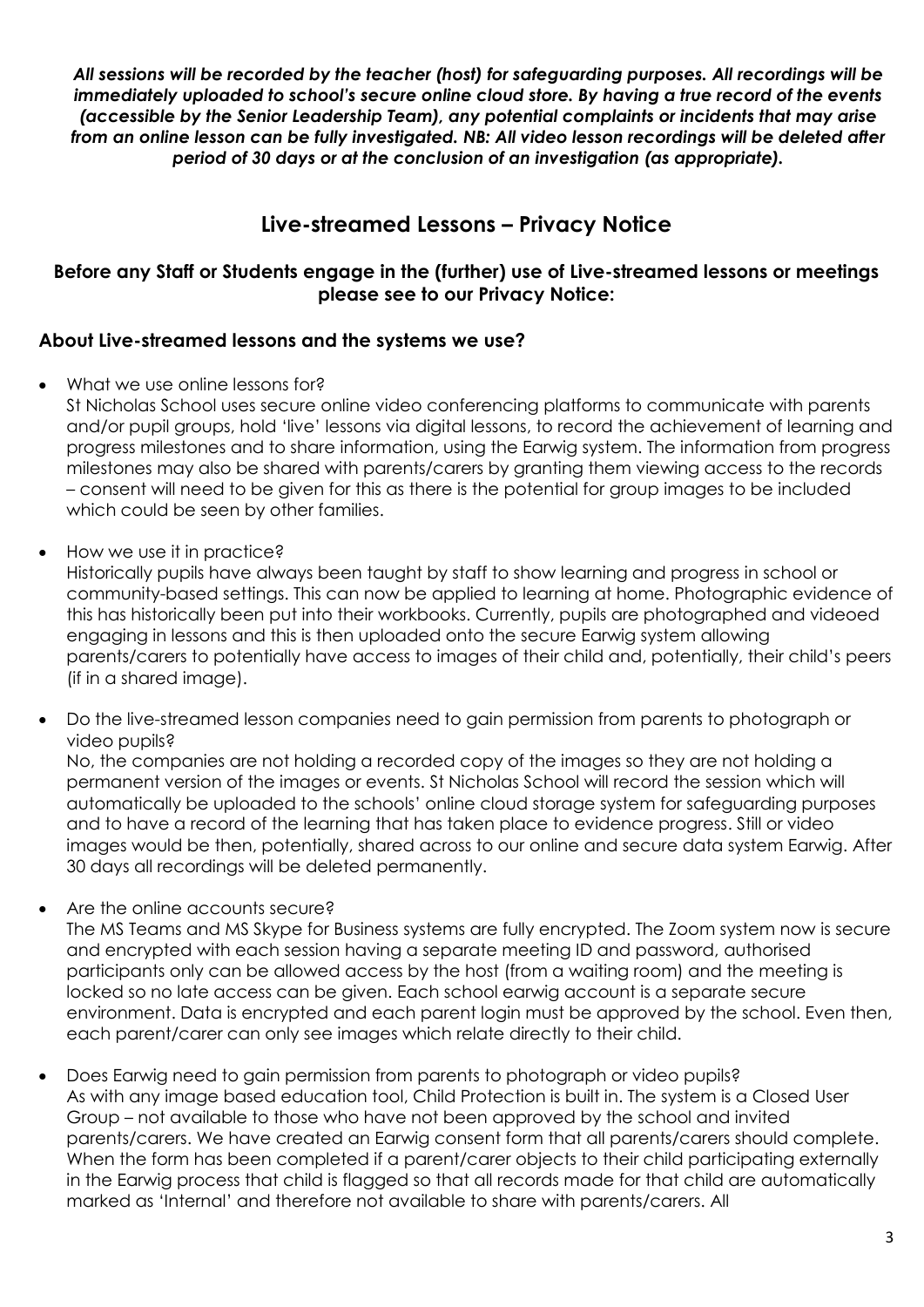*All sessions will be recorded by the teacher (host) for safeguarding purposes. All recordings will be immediately uploaded to school's secure online cloud store. By having a true record of the events (accessible by the Senior Leadership Team), any potential complaints or incidents that may arise from an online lesson can be fully investigated. NB: All video lesson recordings will be deleted after period of 30 days or at the conclusion of an investigation (as appropriate).*

# **Live-streamed Lessons – Privacy Notice**

## **Before any Staff or Students engage in the (further) use of Live-streamed lessons or meetings please see to our Privacy Notice:**

## **About Live-streamed lessons and the systems we use?**

- What we use online lessons for?
	- St Nicholas School uses secure online video conferencing platforms to communicate with parents and/or pupil groups, hold 'live' lessons via digital lessons, to record the achievement of learning and progress milestones and to share information, using the Earwig system. The information from progress milestones may also be shared with parents/carers by granting them viewing access to the records – consent will need to be given for this as there is the potential for group images to be included which could be seen by other families.
- How we use it in practice?

Historically pupils have always been taught by staff to show learning and progress in school or community-based settings. This can now be applied to learning at home. Photographic evidence of this has historically been put into their workbooks. Currently, pupils are photographed and videoed engaging in lessons and this is then uploaded onto the secure Earwig system allowing parents/carers to potentially have access to images of their child and, potentially, their child's peers (if in a shared image).

 Do the live-streamed lesson companies need to gain permission from parents to photograph or video pupils?

No, the companies are not holding a recorded copy of the images so they are not holding a permanent version of the images or events. St Nicholas School will record the session which will automatically be uploaded to the schools' online cloud storage system for safeguarding purposes and to have a record of the learning that has taken place to evidence progress. Still or video images would be then, potentially, shared across to our online and secure data system Earwig. After 30 days all recordings will be deleted permanently.

- Are the online accounts secure?
- The MS Teams and MS Skype for Business systems are fully encrypted. The Zoom system now is secure and encrypted with each session having a separate meeting ID and password, authorised participants only can be allowed access by the host (from a waiting room) and the meeting is locked so no late access can be given. Each school earwig account is a separate secure environment. Data is encrypted and each parent login must be approved by the school. Even then, each parent/carer can only see images which relate directly to their child.
- Does Earwig need to gain permission from parents to photograph or video pupils? As with any image based education tool, Child Protection is built in. The system is a Closed User Group – not available to those who have not been approved by the school and invited parents/carers. We have created an Earwig consent form that all parents/carers should complete. When the form has been completed if a parent/carer objects to their child participating externally in the Earwig process that child is flagged so that all records made for that child are automatically marked as 'Internal' and therefore not available to share with parents/carers. All